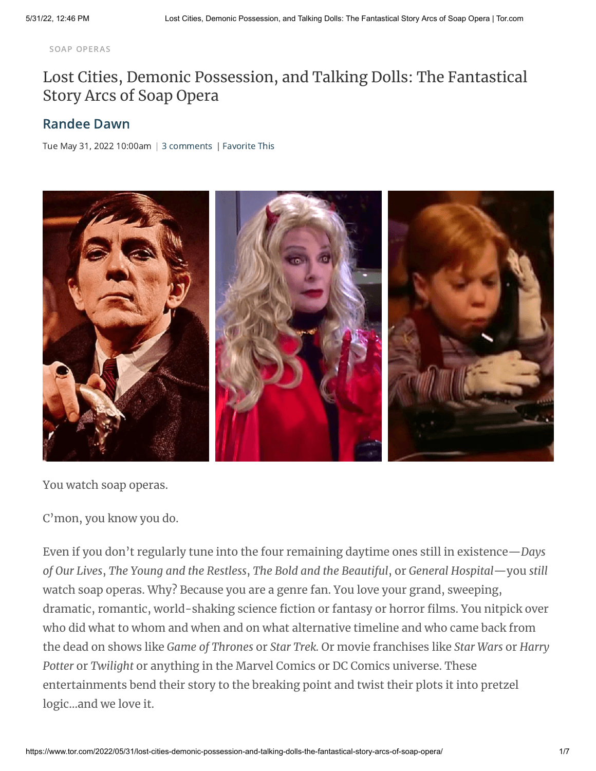SOAP [OPERAS](https://www.tor.com/tag/soap-operas/)

## Lost Cities, Demonic [Possession,](https://www.tor.com/2022/05/31/lost-cities-demonic-possession-and-talking-dolls-the-fantastical-story-arcs-of-soap-opera/) and Talking Dolls: The Fantastical Story Arcs of Soap Opera

## [Randee](https://www.tor.com/author/randee-dawn/) Dawn

Tue May 31, 2022 10:00am  $|$  3 comments  $|$  Favorite This



You watch soap operas.

C'mon, you know you do.

Even if you don't regularly tune into the four remaining daytime ones still in existence—*Days of Our Lives*, *The Young and the Restless*, *The Bold and the Beautiful*, or *General Hospital*—you *still* watch soap operas. Why? Because you are a genre fan. You love your grand, sweeping, dramatic, romantic, world-shaking science fiction or fantasy or horror films. You nitpick over who did what to whom and when and on what alternative timeline and who came back from the dead on shows like *Game of Thrones* or *Star Trek.* Or movie franchises like *Star Wars* or *Harry Potter* or *Twilight* or anything in the Marvel Comics or DC Comics universe. These entertainments bend their story to the breaking point and twist their plots it into pretzel logic…and we love it.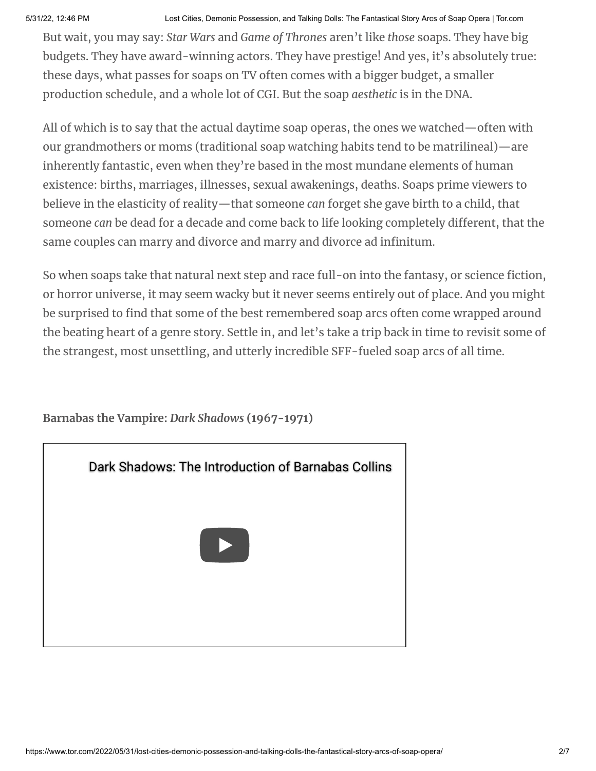5/31/22, 12:46 PM Lost Cities, Demonic Possession, and Talking Dolls: The Fantastical Story Arcs of Soap Opera | Tor.com

But wait, you may say: *Star Wars* and *Game of Thrones* aren't like *those* soaps. They have big budgets. They have award-winning actors. They have prestige! And yes, it's absolutely true: these days, what passes for soaps on TV often comes with a bigger budget, a smaller production schedule, and a whole lot of CGI. But the soap *aesthetic* is in the DNA.

All of which is to say that the actual daytime soap operas, the ones we watched—often with our grandmothers or moms (traditional soap watching habits tend to be matrilineal)—are inherently fantastic, even when they're based in the most mundane elements of human existence: births, marriages, illnesses, sexual awakenings, deaths. Soaps prime viewers to believe in the elasticity of reality—that someone *can* forget she gave birth to a child, that someone *can* be dead for a decade and come back to life looking completely different, that the same couples can marry and divorce and marry and divorce ad infinitum.

So when soaps take that natural next step and race full-on into the fantasy, or science fiction, or horror universe, it may seem wacky but it never seems entirely out of place. And you might be surprised to find that some of the best remembered soap arcs often come wrapped around the beating heart of a genre story. Settle in, and let's take a trip back in time to revisit some of the strangest, most unsettling, and utterly incredible SFF-fueled soap arcs of all time.

[Dark Shadows: The Introduction of Barnabas Collins](https://www.youtube.com/watch?v=WyYg2bD-U94)

**Barnabas the Vampire:** *Dark Shadows* **(1967-1971)**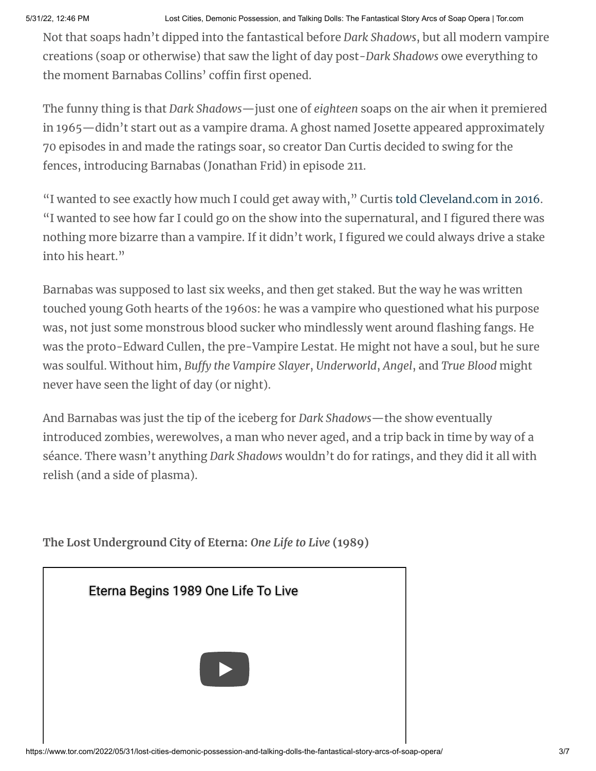5/31/22, 12:46 PM Lost Cities, Demonic Possession, and Talking Dolls: The Fantastical Story Arcs of Soap Opera | Tor.com

Not that soaps hadn't dipped into the fantastical before *Dark Shadows*, but all modern vampire creations (soap or otherwise) that saw the light of day post-*Dark Shadows* owe everything to the moment Barnabas Collins' coffin first opened.

The funny thing is that *Dark Shadows*—just one of *eighteen* soaps on the air when it premiered in 1965—didn't start out as a vampire drama. A ghost named Josette appeared approximately 70 episodes in and made the ratings soar, so creator Dan Curtis decided to swing for the fences, introducing Barnabas (Jonathan Frid) in episode 211.

"I wanted to see exactly how much I could get away with," Curtis told [Cleveland.com](https://www.cleveland.com/tv-blog/2016/06/dark_shadows_at_50_still_casting_a_long_shadow_on_the_vampire_story.html) in 2016. "I wanted to see how far I could go on the show into the supernatural, and I figured there was nothing more bizarre than a vampire. If it didn't work, I figured we could always drive a stake into his heart."

Barnabas was supposed to last six weeks, and then get staked. But the way he was written touched young Goth hearts of the 1960s: he was a vampire who questioned what his purpose was, not just some monstrous blood sucker who mindlessly went around flashing fangs. He was the proto-Edward Cullen, the pre-Vampire Lestat. He might not have a soul, but he sure was soulful. Without him, *Buffy the Vampire Slayer*, *Underworld*, *Angel*, and *True Blood* might never have seen the light of day (or night).

And Barnabas was just the tip of the iceberg for *Dark Shadows*—the show eventually introduced zombies, werewolves, a man who never aged, and a trip back in time by way of a séance. There wasn't anything *Dark Shadows* wouldn't do for ratings, and they did it all with relish (and a side of plasma).

**The Lost Underground City of Eterna:** *One Life to Live* **(1989)**

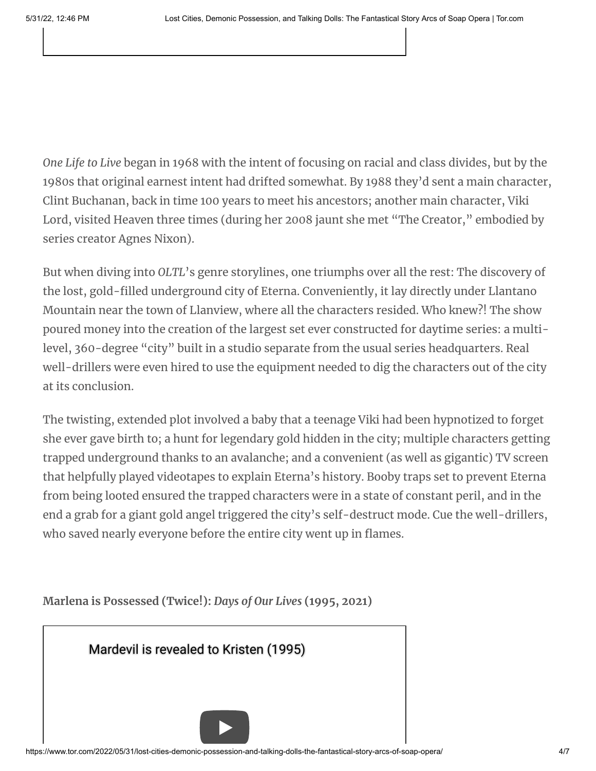*One Life to Live* began in 1968 with the intent of focusing on racial and class divides, but by the 1980s that original earnest intent had drifted somewhat. By 1988 they'd sent a main character, Clint Buchanan, back in time 100 years to meet his ancestors; another main character, Viki Lord, visited Heaven three times (during her 2008 jaunt she met "The Creator," embodied by series creator Agnes Nixon).

But when diving into *OLTL*'s genre storylines, one triumphs over all the rest: The discovery of the lost, gold-filled underground city of Eterna. Conveniently, it lay directly under Llantano Mountain near the town of Llanview, where all the characters resided. Who knew?! The show poured money into the creation of the largest set ever constructed for daytime series: a multilevel, 360-degree "city" built in a studio separate from the usual series headquarters. Real well-drillers were even hired to use the equipment needed to dig the characters out of the city at its conclusion.

The twisting, extended plot involved a baby that a teenage Viki had been hypnotized to forget she ever gave birth to; a hunt for legendary gold hidden in the city; multiple characters getting trapped underground thanks to an avalanche; and a convenient (as well as gigantic) TV screen that helpfully played videotapes to explain Eterna's history. Booby traps set to prevent Eterna from being looted ensured the trapped characters were in a state of constant peril, and in the end a grab for a giant gold angel triggered the city's self-destruct mode. Cue the well-drillers, who saved nearly everyone before the entire city went up in flames.

|  |  | Marlena is Possessed (Twice!): Days of Our Lives (1995, 2021) |
|--|--|---------------------------------------------------------------|
|--|--|---------------------------------------------------------------|

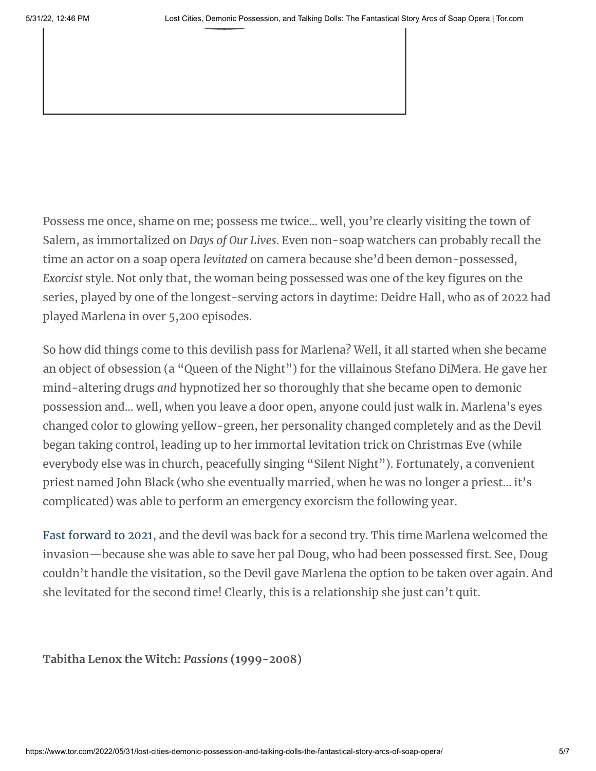Possess me once, shame on me; possess me twice… well, you're clearly visiting the town of Salem, as immortalized on *Days of Our Lives*. Even non-soap watchers can probably recall the time an actor on a soap opera *levitated* on camera because she'd been demon-possessed, *Exorcist* style. Not only that, the woman being possessed was one of the key figures on the series, played by one of the longest-serving actors in daytime: Deidre Hall, who as of 2022 had played Marlena in over 5,200 episodes.

So how did things come to this devilish pass for Marlena? Well, it all started when she became an object of obsession (a "Queen of the Night") for the villainous Stefano DiMera. He gave her mind-altering drugs *and* hypnotized her so thoroughly that she became open to demonic possession and… well, when you leave a door open, anyone could just walk in. Marlena's eyes changed color to glowing yellow-green, her personality changed completely and as the Devil began taking control, leading up to her immortal levitation trick on Christmas Eve (while everybody else was in church, peacefully singing "Silent Night"). Fortunately, a convenient priest named John Black (who she eventually married, when he was no longer a priest… it's complicated) was able to perform an emergency exorcism the following year.

Fast [forward](https://www.youtube.com/watch?v=_XWFxhbyX70) to 2021, and the devil was back for a second try. This time Marlena welcomed the invasion—because she was able to save her pal Doug, who had been possessed first. See, Doug couldn't handle the visitation, so the Devil gave Marlena the option to be taken over again. And she levitated for the second time! Clearly, this is a relationship she just can't quit.

**Tabitha Lenox the Witch:** *Passions* **(1999-2008)**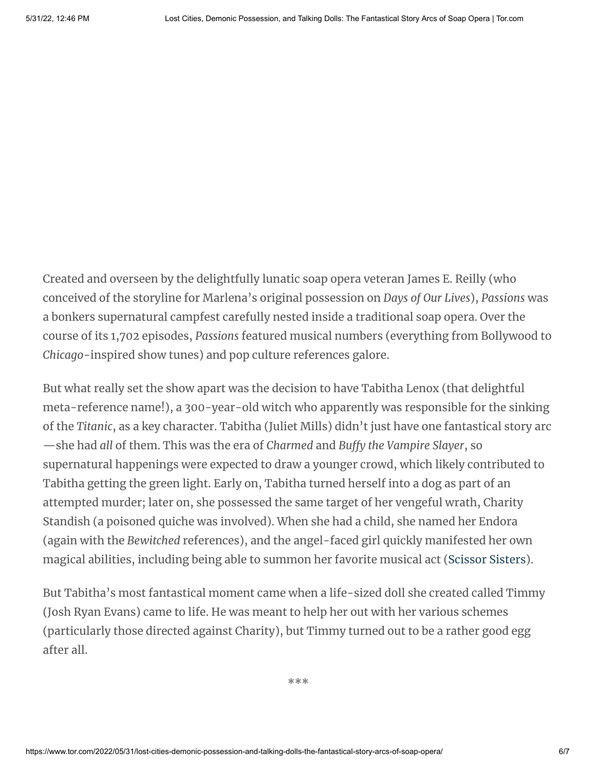Created and overseen by the delightfully lunatic soap opera veteran James E. Reilly (who conceived of the storyline for Marlena's original possession on *Days of Our Lives*), *Passions* was a bonkers supernatural campfest carefully nested inside a traditional soap opera. Over the course of its 1,702 episodes, *Passions* featured musical numbers (everything from Bollywood to *Chicago*-inspired show tunes) and pop culture references galore.

But what really set the show apart was the decision to have Tabitha Lenox (that delightful meta-reference name!), a 300-year-old witch who apparently was responsible for the sinking of the *Titanic*, as a key character. Tabitha (Juliet Mills) didn't just have one fantastical story arc —she had *all* of them. This was the era of *Charmed* and *Buffy the Vampire Slayer*, so supernatural happenings were expected to draw a younger crowd, which likely contributed to Tabitha getting the green light. Early on, Tabitha turned herself into a dog as part of an attempted murder; later on, she possessed the same target of her vengeful wrath, Charity Standish (a poisoned quiche was involved). When she had a child, she named her Endora (again with the *Bewitched* references), and the angel-faced girl quickly manifested her own magical abilities, including being able to summon her favorite musical act ([Scissor](https://www.youtube.com/watch?v=c5uhrmsg3G8) Sisters).

But Tabitha's most fantastical moment came when a life-sized doll she created called Timmy (Josh Ryan Evans) came to life. He was meant to help her out with her various schemes (particularly those directed against Charity), but Timmy turned out to be a rather good egg after all.

\*\*\*